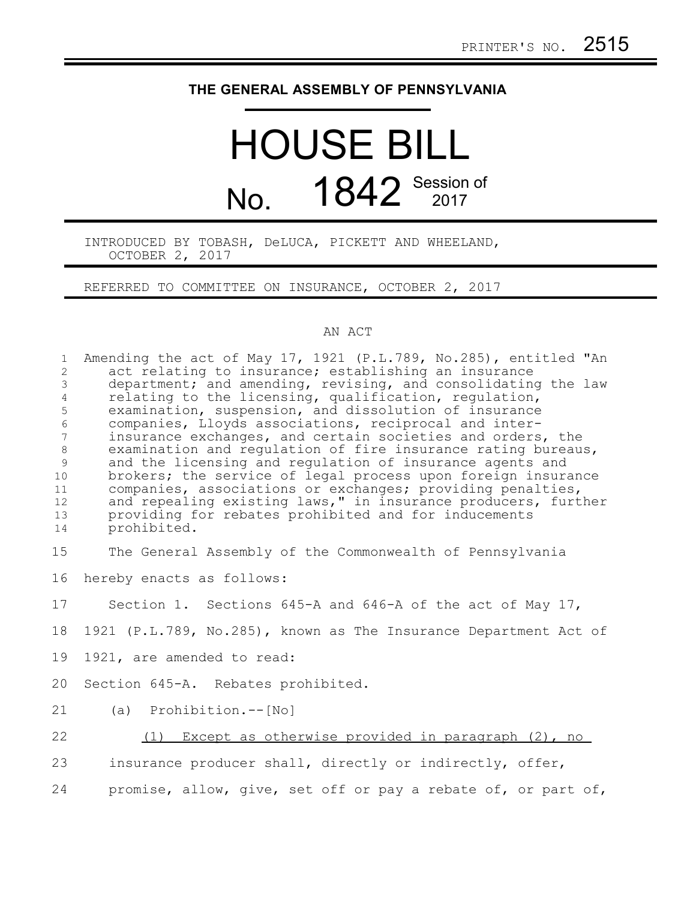## **THE GENERAL ASSEMBLY OF PENNSYLVANIA**

## HOUSE BILL No. 1842 Session of

INTRODUCED BY TOBASH, DeLUCA, PICKETT AND WHEELAND, OCTOBER 2, 2017

REFERRED TO COMMITTEE ON INSURANCE, OCTOBER 2, 2017

## AN ACT

| $\mathbf{1}$<br>$\overline{c}$ | Amending the act of May 17, 1921 (P.L.789, No.285), entitled "An<br>act relating to insurance; establishing an insurance    |
|--------------------------------|-----------------------------------------------------------------------------------------------------------------------------|
| 3                              | department; and amending, revising, and consolidating the law                                                               |
| $\sqrt{4}$                     | relating to the licensing, qualification, regulation,                                                                       |
| 5                              | examination, suspension, and dissolution of insurance                                                                       |
| $\epsilon$                     | companies, Lloyds associations, reciprocal and inter-                                                                       |
| 7                              | insurance exchanges, and certain societies and orders, the                                                                  |
| $\,8\,$                        | examination and regulation of fire insurance rating bureaus,                                                                |
| $\mathsf 9$                    | and the licensing and regulation of insurance agents and                                                                    |
| 10                             | brokers; the service of legal process upon foreign insurance                                                                |
| 11                             | companies, associations or exchanges; providing penalties,<br>and repealing existing laws," in insurance producers, further |
| 12<br>13                       | providing for rebates prohibited and for inducements                                                                        |
| 14                             | prohibited.                                                                                                                 |
|                                |                                                                                                                             |
| 15                             | The General Assembly of the Commonwealth of Pennsylvania                                                                    |
| 16                             | hereby enacts as follows:                                                                                                   |
| 17                             | Section 1. Sections 645-A and 646-A of the act of May 17,                                                                   |
| 18                             | 1921 (P.L.789, No.285), known as The Insurance Department Act of                                                            |
| 19                             | 1921, are amended to read:                                                                                                  |
| 20                             | Section 645-A. Rebates prohibited.                                                                                          |
| 21                             | (a) Prohibition.--[No]                                                                                                      |
| 22                             | (1) Except as otherwise provided in paragraph (2), no                                                                       |
| 23                             | insurance producer shall, directly or indirectly, offer,                                                                    |
| 24                             | promise, allow, give, set off or pay a rebate of, or part of,                                                               |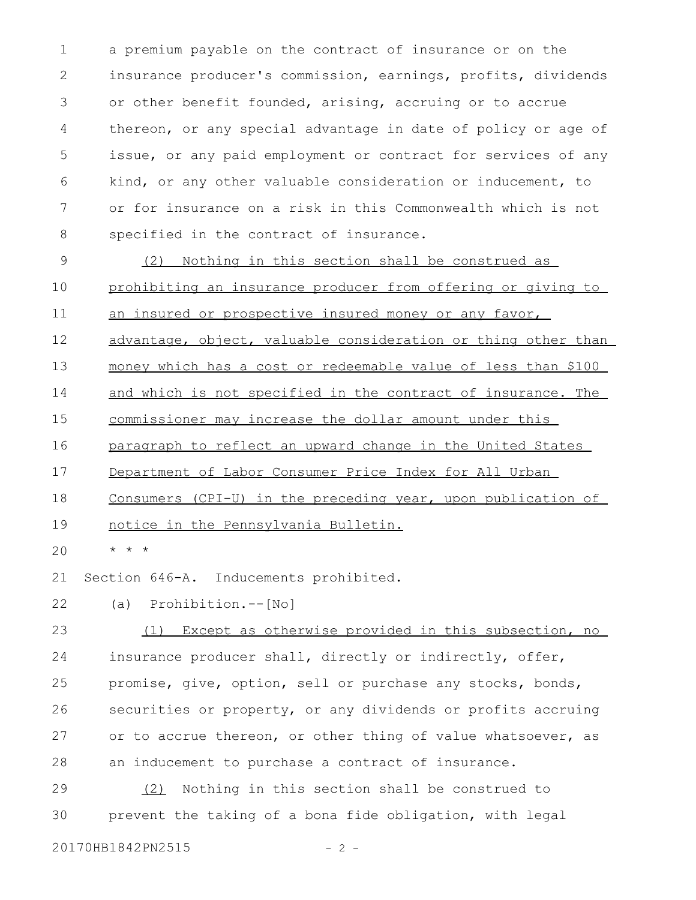a premium payable on the contract of insurance or on the insurance producer's commission, earnings, profits, dividends or other benefit founded, arising, accruing or to accrue thereon, or any special advantage in date of policy or age of issue, or any paid employment or contract for services of any kind, or any other valuable consideration or inducement, to or for insurance on a risk in this Commonwealth which is not specified in the contract of insurance. 1 2 3 4 5 6 7 8

(2) Nothing in this section shall be construed as prohibiting an insurance producer from offering or giving to 9 10

an insured or prospective insured money or any favor, 11

advantage, object, valuable consideration or thing other than 12

money which has a cost or redeemable value of less than \$100 13

and which is not specified in the contract of insurance. The 14

commissioner may increase the dollar amount under this 15

 paragraph to reflect an upward change in the United States 16

Department of Labor Consumer Price Index for All Urban 17

 Consumers (CPI-U) in the preceding year, upon publication of 18

notice in the Pennsylvania Bulletin. 19

\* \* \* 20

Section 646-A. Inducements prohibited. 21

(a) Prohibition.--[No] 22

(1) Except as otherwise provided in this subsection, no insurance producer shall, directly or indirectly, offer, promise, give, option, sell or purchase any stocks, bonds, securities or property, or any dividends or profits accruing or to accrue thereon, or other thing of value whatsoever, as an inducement to purchase a contract of insurance. 23 24 25 26 27 28

(2) Nothing in this section shall be construed to prevent the taking of a bona fide obligation, with legal 29 30

20170HB1842PN2515 - 2 -